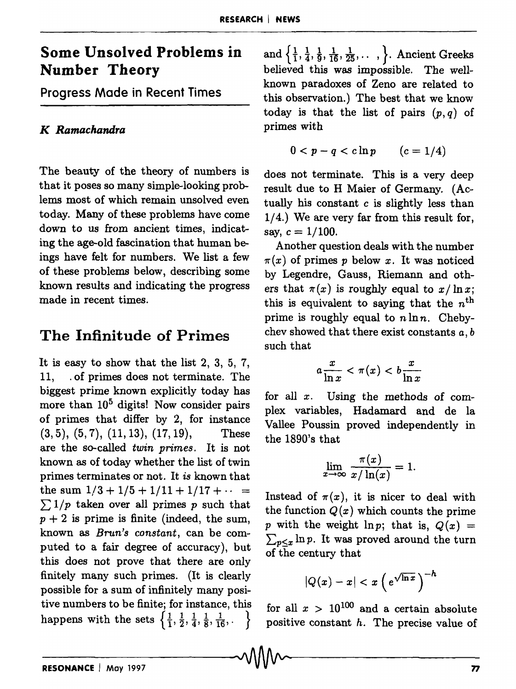# Some Unsolved Problems in Number Theory

Progress Made in Recent Times

#### *K Ramachandra*

The beauty of the theory of numbers is that it poses so many simple-looking problems most of which remain unsolved even today. Many of these problems have come down to us from ancient times, indicating the age-old fascination that human beings have felt for numbers. We list a few of these problems below, describing some known results and indicating the progress made in recent times.

## The Infinitude of Primes

It is easy to show that the list 2, 3, 5, 7, 11, . of primes does not terminate. The biggest prime known explicitly today has more than  $10<sup>5</sup>$  digits! Now consider pairs of primes that differ by 2, for instance  $(3,5), (5,7), (11,13), (17,19),$  These are the so-called *twin primes.* It is not known as of today whether the list of twin primes terminates or not. It *is* known that the sum  $1/3 + 1/5 + 1/11 + 1/17 + \cdots$  $\sum 1/p$  taken over all primes p such that  $p + 2$  is prime is finite (indeed, the sum, known as *Brun's constant,* can be computed to a fair degree of accuracy), but this does not prove that there are only finitely many such primes. (It is clearly possible for a sum of infinitely many positive numbers to be finite; for instance, this happens with the sets  $\left\{\frac{1}{1}, \frac{1}{2}, \frac{1}{4}, \frac{1}{8}, \frac{1}{16}, \dots\right\}$ 

and  $\left\{\frac{1}{1},\frac{1}{4},\frac{1}{9},\frac{1}{16},\frac{1}{25},\ldots\right\}$ . Ancient Greeks believed this was impossible. The wellknown paradoxes of Zeno are related to this observation.) The best that we know today is that the list of pairs *(p, q)* of primes with

$$
0 < p - q < c \ln p \qquad (c = 1/4)
$$

does not terminate. This is a very deep result due to H Maier of Germany. (Actually his constant  $c$  is slightly less than 1/4.) We are very far from this result for, say,  $c = 1/100$ .

Another question deals with the number  $\pi(x)$  of primes p below x. It was noticed by Legendre, Gauss, Riemann and others that  $\pi(x)$  is roughly equal to  $x / \ln x$ ; this is equivalent to saying that the  $n<sup>th</sup>$ prime is roughly equal to  $n \ln n$ . Chebychev showed that there exist constants *a, b*  such that

$$
a\frac{x}{\ln x} < \pi(x) < b\frac{x}{\ln x}
$$

for all *x.* Using the methods of complex variables, Hadamard and de la Vallee Poussin proved independently in the 1890's that

$$
\lim_{x \to \infty} \frac{\pi(x)}{x/\ln(x)} = 1.
$$

Instead of  $\pi(x)$ , it is nicer to deal with the function  $Q(x)$  which counts the prime p with the weight  $\ln p$ ; that is,  $Q(x) =$  $\sum_{p\leq x} \ln p$ . It was proved around the turn of the century that

$$
|Q(x)-x|
$$

for all  $x > 10^{100}$  and a certain absolute positive constant  $h$ . The precise value of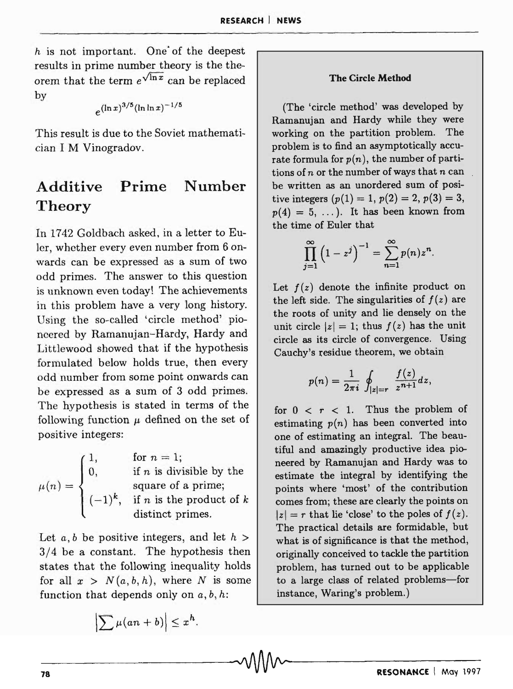$h$  is not important. One of the deepest results in prime number theory is the theorem that the term  $e^{\sqrt{\ln x}}$  can be replaced by

$$
e^{(\ln x)^{3/5}(\ln \ln x)^{-1/5}}
$$

This result is due to the Soviet mathematician I M Vinogradov.

#### **Additive Theory Prime Number**

In 1742 Goldbach asked, in a letter to Euler, whether every even nunlber from 6 onwards can be expressed as a sum of two odd primes. The answer to this question is unknown even today! The achievements in this problem have a very long history. Using the so-called 'circle method' pioneered by Ramanujan-Hardy, Hardy and Littlewood showed that if the hypothesis formulated below holds true, then every odd number from some point onwards can be expressed as a sum of 3 odd primes. The hypothesis is stated in terms of the following function  $\mu$  defined on the set of positive integers:

| $\begin{pmatrix} 1, \end{pmatrix}$ | for $n = 1$ ;                     |
|------------------------------------|-----------------------------------|
| $\mathbf{0},$                      | if $n$ is divisible by the        |
| $\mu(n) = \left\{ \right.$         | square of a prime;                |
| $(-1)^k$ ,                         | if <i>n</i> is the product of $k$ |
|                                    | distinct primes.                  |

Let  $a, b$  be positive integers, and let  $h >$ 3/4 be a constant. The hypothesis then states that the following inequality holds for all  $x > N(a, b, h)$ , where *N* is some function that depends only on *a, b, h:* 

$$
\left|\sum \mu(an+b)\right|\leq x^h.
$$

#### **The Circle Method**

(The 'circle method' was developed by Ramanujan and Hardy while they were working on the partition problem. The problem is to find an asymptotically accurate formula for  $p(n)$ , the number of partitions of *n* or the number of ways that *n* can be written as an unordered sum of positive integers  $(p(1) = 1, p(2) = 2, p(3) = 3,$  $p(4) = 5, \ldots$ ). It has been known from the time of Euler that

$$
\prod_{j=1}^{\infty} \left(1-z^j\right)^{-1} = \sum_{n=1}^{\infty} p(n) z^n.
$$

Let  $f(z)$  denote the infinite product on the left side. The singularities of  $f(z)$  are the roots of unity and lie densely on the unit circle  $|z| = 1$ ; thus  $f(z)$  has the unit circle as its circle of convergence. Using Cauchy's residue theorem, we obtain

$$
p(n) = \frac{1}{2\pi i} \oint_{|z|=r} \frac{f(z)}{z^{n+1}} dz,
$$

for  $0 < r < 1$ . Thus the problem of estimating  $p(n)$  has been converted into one of estimating an integral. The beautiful and amazingly productive idea pioneered by Ramanujan and Hardy was to estimate the integral by identifying the points where 'most' of the contribution comes from; these are clearly the points on  $|z| = r$  that lie 'close' to the poles of  $f(z)$ . The practical details are formidable, but what is of significance is that the method, originally conceived to tackle the partition problem, has turned out to be applicable to a large class of related problems-for instance, Waring's problem.)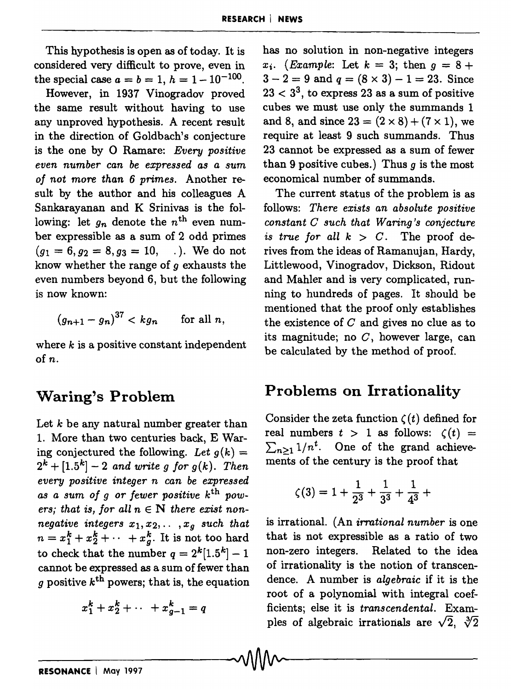This hypothesis is open as of today. It is considered very difficult to prove, even in the special case  $a = b = 1$ ,  $h = 1 - 10^{-100}$ .

However, in 1937 Vinogradov proved the same result without having to use any unproved hypothesis. A recent result in the direction of Goldbach's conjecture is the one by 0 Ramare: *Every positive even number can be expressed as a sum of not more than* 6 *primes.* Another result by the author and his colleagues A Sankarayanan and K Srinivas is the following: let  $g_n$  denote the  $n^{\text{th}}$  even number expressible as a sum of 2 odd primes  $(q_1 = 6, q_2 = 8, q_3 = 10, \ldots)$ . We do not know whether the range of  $q$  exhausts the even numbers beyond 6, but the following is now known:

$$
(g_{n+1}-g_n)^{37} < k g_n \quad \text{for all } n,
$$

where  $k$  is a positive constant independent of n.

## **Waring's Problem**

Let *k* be any natural number greater than 1. More than two centuries back, E Waring conjectured the following. Let  $g(k)$  =  $2^{k} + [1.5^{k}] - 2$  and write g for  $g(k)$ . Then *every positive integer n can be expressed as a sum of* 9 *or fewer positive* kth *pow*ers; that is, for all  $n \in \mathbb{N}$  there exist non*negative integers*  $x_1, x_2, \ldots, x_q$  *such that*  $n = x_1^k + x_2^k + \cdots + x_g^k$ . It is not too hard to check that the number  $q = 2^k[1.5^k] - 1$ cannot be expressed as a sum of fewer than *g* positive  $k^{\text{th}}$  powers; that is, the equation

$$
x_1^k + x_2^k + \cdots + x_{g-1}^k = q
$$

 $\sim$  V V V V  $\sim$ 

has no solution in non-negative integers  $x_i$ . *(Example: Let*  $k = 3$ ; then  $q = 8 +$  $3 - 2 = 9$  and  $q = (8 \times 3) - 1 = 23$ . Since  $23 < 3<sup>3</sup>$ , to express 23 as a sum of positive cubes we must use only the summands 1 and 8, and since  $23 = (2 \times 8) + (7 \times 1)$ , we require at least 9 such summands. Thus 23 cannot be expressed as a sum of fewer than 9 positive cubes.) Thus *9* is the most economical number of summands.

The current status of the problem is as follows: *There exists an absolute positive constant C such that Waring's conjecture is true for all*  $k > C$ . The proof derives from the ideas of Ramanujan, Hardy, Littlewood, Vinogradov, Dickson, Ridout and Mahler and is very complicated, running to hundreds of pages. It should be mentioned that the proof only establishes the existence of  $C$  and gives no clue as to its magnitude; no  $C$ , however large, can be calculated by the method of proof.

### **Problems on Irrationality**

Consider the zeta function  $\zeta(t)$  defined for real numbers  $t > 1$  as follows:  $\zeta(t) =$  $\sum_{n>1}$  1/n<sup>t</sup>. One of the grand achievements of the century is the proof that

$$
\zeta(3) = 1 + \frac{1}{2^3} + \frac{1}{3^3} + \frac{1}{4^3} + \cdots
$$

is irrational. (An *irrational number* is one that is not expressible as a ratio of two non-zero integers. Related to the idea of irrationality is the notion of transcendence. A number is *algebraic* if it is the root of a polynomial with integral coefficients; else it is *transcendental*. Examples of algebraic irrationals are  $\sqrt{2}$ ,  $\sqrt[3]{2}$